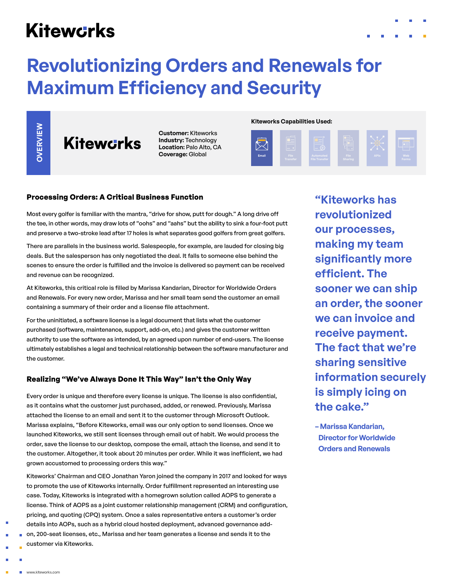# **Kitewcrks**

# **Revolutionizing Orders and Renewals for Maximum Efficiency and Security**

OVERVIEW

**Kitewcrks** 

**Customer:** Kiteworks **Industry:** Technology **Location:** Palo Alto, CA **Coverage:** Global

**Kiteworks Capabilities Used:**



# **Processing Orders: A Critical Business Function**

Most every golfer is familiar with the mantra, "drive for show, putt for dough." A long drive off the tee, in other words, may draw lots of "oohs" and "aahs" but the ability to sink a four-foot putt and preserve a two-stroke lead after 17 holes is what separates good golfers from great golfers.

There are parallels in the business world. Salespeople, for example, are lauded for closing big deals. But the salesperson has only negotiated the deal. It falls to someone else behind the scenes to ensure the order is fulfilled and the invoice is delivered so payment can be received and revenue can be recognized.

At Kiteworks, this critical role is filled by Marissa Kandarian, Director for Worldwide Orders and Renewals. For every new order, Marissa and her small team send the customer an email containing a summary of their order and a license file attachment.

For the uninitiated, a software license is a legal document that lists what the customer purchased (software, maintenance, support, add-on, etc.) and gives the customer written authority to use the software as intended, by an agreed upon number of end-users. The license ultimately establishes a legal and technical relationship between the software manufacturer and the customer.

## **Realizing "We've Always Done It This Way" Isn't the Only Way**

Every order is unique and therefore every license is unique. The license is also confidential, as it contains what the customer just purchased, added, or renewed. Previously, Marissa attached the license to an email and sent it to the customer through Microsoft Outlook. Marissa explains, "Before Kiteworks, email was our only option to send licenses. Once we launched Kiteworks, we still sent licenses through email out of habit. We would process the order, save the license to our desktop, compose the email, attach the license, and send it to the customer. Altogether, it took about 20 minutes per order. While it was inefficient, we had grown accustomed to processing orders this way."

customer via Kiteworks. **OVERVIEW** Kiteworks' Chairman and CEO Jonathan Yaron joined the company in 2017 and looked for ways to promote the use of Kiteworks internally. Order fulfillment represented an interesting use case. Today, Kiteworks is integrated with a homegrown solution called AOPS to generate a license. Think of AOPS as a joint customer relationship management (CRM) and configuration, pricing, and quoting (CPQ) system. Once a sales representative enters a customer's order details into AOPs, such as a hybrid cloud hosted deployment, advanced governance addon, 200-seat licenses, etc., Marissa and her team generates a license and sends it to the customer via Kiteworks.

**"Kiteworks has revolutionized our processes, making my team significantly more efficient. The sooner we can ship an order, the sooner we can invoice and receive payment. The fact that we're sharing sensitive information securely is simply icing on the cake."**

**– Marissa Kandarian, Director for Worldwide Orders and Renewals**